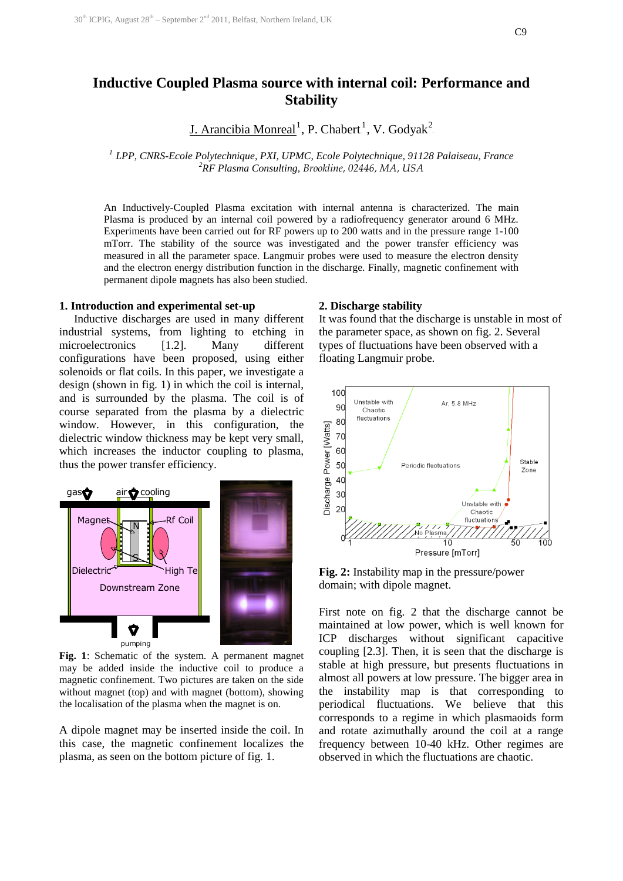# **Inductive Coupled Plasma source with internal coil: Performance and Stability**

J. Arancibia Monreal<sup>1</sup>, P. Chabert<sup>1</sup>, V. Godyak<sup>2</sup>

<sup>1</sup> LPP, CNRS-Ecole Polytechnique, PXI, UPMC, Ecole Polytechnique, 91128 Palaiseau, France *<sup>2</sup>RF Plasma Consulting, Brookline, 02446, MA, USA*

An Inductively-Coupled Plasma excitation with internal antenna is characterized. The main Plasma is produced by an internal coil powered by a radiofrequency generator around 6 MHz. Experiments have been carried out for RF powers up to 200 watts and in the pressure range 1-100 mTorr. The stability of the source was investigated and the power transfer efficiency was measured in all the parameter space. Langmuir probes were used to measure the electron density and the electron energy distribution function in the discharge. Finally, magnetic confinement with permanent dipole magnets has also been studied.

#### **1. Introduction and experimental set-up**

Inductive discharges are used in many different industrial systems, from lighting to etching in microelectronics [1.2]. Many different configurations have been proposed, using either solenoids or flat coils. In this paper, we investigate a design (shown in fig. 1) in which the coil is internal, and is surrounded by the plasma. The coil is of course separated from the plasma by a dielectric window. However, in this configuration, the dielectric window thickness may be kept very small, which increases the inductor coupling to plasma, thus the power transfer efficiency.



**Fig. 1**: Schematic of the system. A permanent magnet may be added inside the inductive coil to produce a magnetic confinement. Two pictures are taken on the side without magnet (top) and with magnet (bottom), showing the localisation of the plasma when the magnet is on.

A dipole magnet may be inserted inside the coil. In this case, the magnetic confinement localizes the plasma, as seen on the bottom picture of fig. 1.

#### **2. Discharge stability**

It was found that the discharge is unstable in most of the parameter space, as shown on fig. 2. Several types of fluctuations have been observed with a floating Langmuir probe.



**Fig. 2:** Instability map in the pressure/power domain; with dipole magnet.

First note on fig. 2 that the discharge cannot be maintained at low power, which is well known for ICP discharges without significant capacitive coupling [2.3]. Then, it is seen that the discharge is stable at high pressure, but presents fluctuations in almost all powers at low pressure. The bigger area in the instability map is that corresponding to periodical fluctuations. We believe that this corresponds to a regime in which plasmaoids form and rotate azimuthally around the coil at a range frequency between 10-40 kHz. Other regimes are observed in which the fluctuations are chaotic.